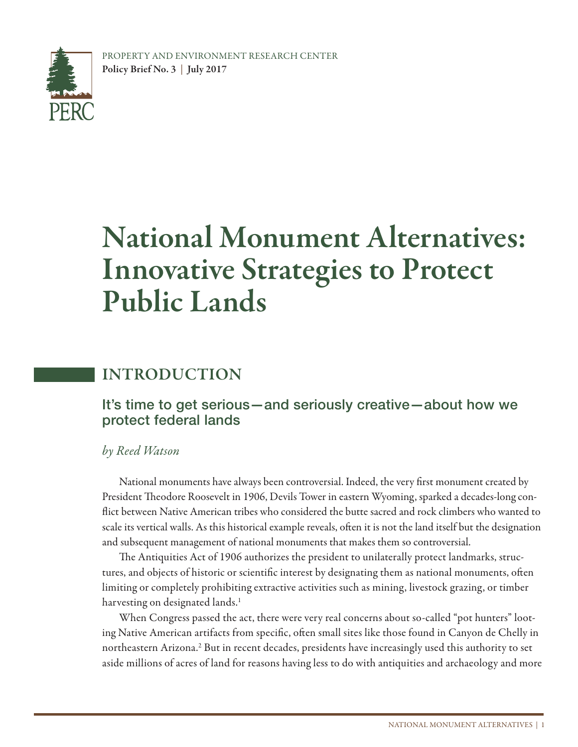

# National Monument Alternatives: Innovative Strategies to Protect Public Lands

# INTRODUCTION

#### It's time to get serious—and seriously creative—about how we protect federal lands

#### *by Reed Watson*

National monuments have always been controversial. Indeed, the very first monument created by President Theodore Roosevelt in 1906, Devils Tower in eastern Wyoming, sparked a decades-long conflict between Native American tribes who considered the butte sacred and rock climbers who wanted to scale its vertical walls. As this historical example reveals, often it is not the land itself but the designation and subsequent management of national monuments that makes them so controversial.

The Antiquities Act of 1906 authorizes the president to unilaterally protect landmarks, structures, and objects of historic or scientific interest by designating them as national monuments, often limiting or completely prohibiting extractive activities such as mining, livestock grazing, or timber harvesting on designated lands.<sup>1</sup>

When Congress passed the act, there were very real concerns about so-called "pot hunters" looting Native American artifacts from specific, often small sites like those found in Canyon de Chelly in northeastern Arizona.<sup>2</sup> But in recent decades, presidents have increasingly used this authority to set aside millions of acres of land for reasons having less to do with antiquities and archaeology and more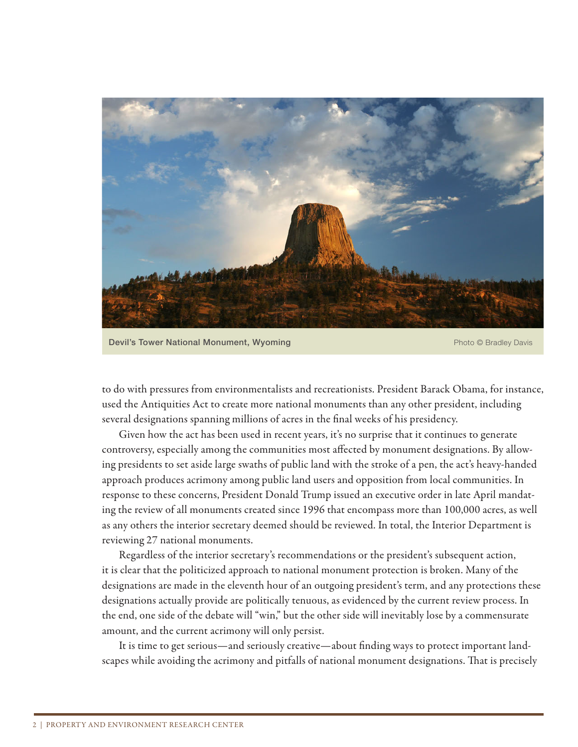

Devil's Tower National Monument, Wyoming Photo Committee of Photo © Bradley Davis

to do with pressures from environmentalists and recreationists. President Barack Obama, for instance, used the Antiquities Act to create more national monuments than any other president, including several designations spanning millions of acres in the final weeks of his presidency.

Given how the act has been used in recent years, it's no surprise that it continues to generate controversy, especially among the communities most affected by monument designations. By allowing presidents to set aside large swaths of public land with the stroke of a pen, the act's heavy-handed approach produces acrimony among public land users and opposition from local communities. In response to these concerns, President Donald Trump issued an executive order in late April mandating the review of all monuments created since 1996 that encompass more than 100,000 acres, as well as any others the interior secretary deemed should be reviewed. In total, the Interior Department is reviewing 27 national monuments.

Regardless of the interior secretary's recommendations or the president's subsequent action, it is clear that the politicized approach to national monument protection is broken. Many of the designations are made in the eleventh hour of an outgoing president's term, and any protections these designations actually provide are politically tenuous, as evidenced by the current review process. In the end, one side of the debate will "win," but the other side will inevitably lose by a commensurate amount, and the current acrimony will only persist.

It is time to get serious—and seriously creative—about finding ways to protect important landscapes while avoiding the acrimony and pitfalls of national monument designations. That is precisely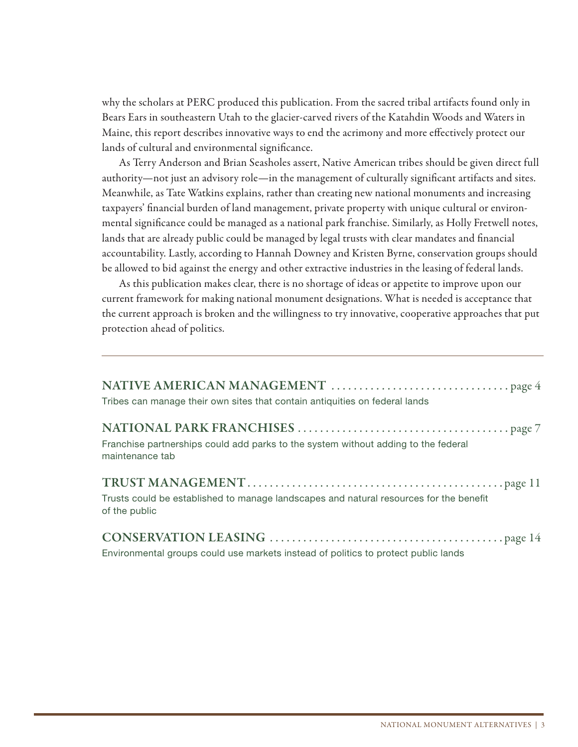why the scholars at PERC produced this publication. From the sacred tribal artifacts found only in Bears Ears in southeastern Utah to the glacier-carved rivers of the Katahdin Woods and Waters in Maine, this report describes innovative ways to end the acrimony and more effectively protect our lands of cultural and environmental significance.

As Terry Anderson and Brian Seasholes assert, Native American tribes should be given direct full authority—not just an advisory role—in the management of culturally significant artifacts and sites. Meanwhile, as Tate Watkins explains, rather than creating new national monuments and increasing taxpayers' financial burden of land management, private property with unique cultural or environmental significance could be managed as a national park franchise. Similarly, as Holly Fretwell notes, lands that are already public could be managed by legal trusts with clear mandates and financial accountability. Lastly, according to Hannah Downey and Kristen Byrne, conservation groups should be allowed to bid against the energy and other extractive industries in the leasing of federal lands.

As this publication makes clear, there is no shortage of ideas or appetite to improve upon our current framework for making national monument designations. What is needed is acceptance that the current approach is broken and the willingness to try innovative, cooperative approaches that put protection ahead of politics.

| Tribes can manage their own sites that contain antiquities on federal lands                             |
|---------------------------------------------------------------------------------------------------------|
| Franchise partnerships could add parks to the system without adding to the federal<br>maintenance tab   |
| Trusts could be established to manage landscapes and natural resources for the benefit<br>of the public |
|                                                                                                         |

Environmental groups could use markets instead of politics to protect public lands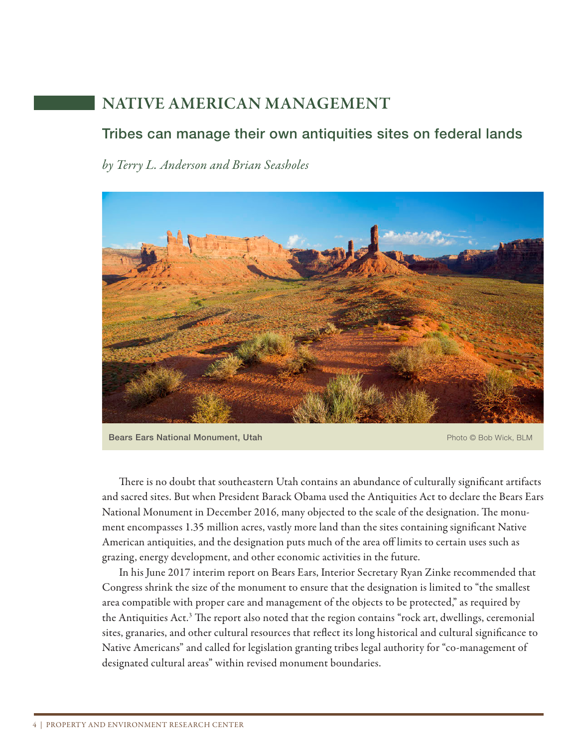# NATIVE AMERICAN MANAGEMENT

#### Tribes can manage their own antiquities sites on federal lands

*by Terry L. Anderson and Brian Seasholes*



Bears Ears National Monument, Utah Photo © Bob Wick, BLM

There is no doubt that southeastern Utah contains an abundance of culturally significant artifacts and sacred sites. But when President Barack Obama used the Antiquities Act to declare the Bears Ears National Monument in December 2016, many objected to the scale of the designation. The monument encompasses 1.35 million acres, vastly more land than the sites containing significant Native American antiquities, and the designation puts much of the area off limits to certain uses such as grazing, energy development, and other economic activities in the future.

 In his June 2017 interim report on Bears Ears, Interior Secretary Ryan Zinke recommended that Congress shrink the size of the monument to ensure that the designation is limited to "the smallest area compatible with proper care and management of the objects to be protected," as required by the Antiquities Act.<sup>3</sup> The report also noted that the region contains "rock art, dwellings, ceremonial sites, granaries, and other cultural resources that reflect its long historical and cultural significance to Native Americans" and called for legislation granting tribes legal authority for "co-management of designated cultural areas" within revised monument boundaries.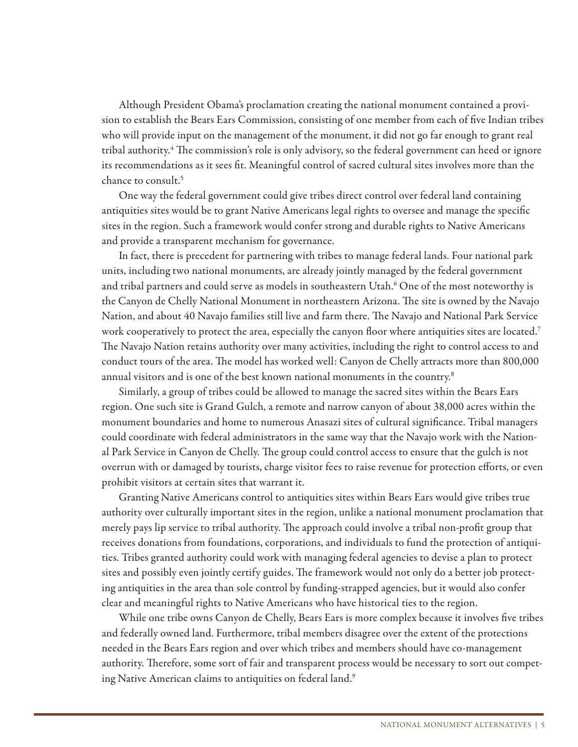Although President Obama's proclamation creating the national monument contained a provision to establish the Bears Ears Commission, consisting of one member from each of five Indian tribes who will provide input on the management of the monument, it did not go far enough to grant real tribal authority.<sup>4</sup> The commission's role is only advisory, so the federal government can heed or ignore its recommendations as it sees fit. Meaningful control of sacred cultural sites involves more than the chance to consult.5

 One way the federal government could give tribes direct control over federal land containing antiquities sites would be to grant Native Americans legal rights to oversee and manage the specific sites in the region. Such a framework would confer strong and durable rights to Native Americans and provide a transparent mechanism for governance.

 In fact, there is precedent for partnering with tribes to manage federal lands. Four national park units, including two national monuments, are already jointly managed by the federal government and tribal partners and could serve as models in southeastern Utah. $^6$  One of the most noteworthy is the Canyon de Chelly National Monument in northeastern Arizona. The site is owned by the Navajo Nation, and about 40 Navajo families still live and farm there. The Navajo and National Park Service work cooperatively to protect the area, especially the canyon floor where antiquities sites are located.<sup>7</sup> The Navajo Nation retains authority over many activities, including the right to control access to and conduct tours of the area. The model has worked well: Canyon de Chelly attracts more than 800,000 annual visitors and is one of the best known national monuments in the country.<sup>8</sup>

 Similarly, a group of tribes could be allowed to manage the sacred sites within the Bears Ears region. One such site is Grand Gulch, a remote and narrow canyon of about 38,000 acres within the monument boundaries and home to numerous Anasazi sites of cultural significance. Tribal managers could coordinate with federal administrators in the same way that the Navajo work with the National Park Service in Canyon de Chelly. The group could control access to ensure that the gulch is not overrun with or damaged by tourists, charge visitor fees to raise revenue for protection efforts, or even prohibit visitors at certain sites that warrant it.

 Granting Native Americans control to antiquities sites within Bears Ears would give tribes true authority over culturally important sites in the region, unlike a national monument proclamation that merely pays lip service to tribal authority. The approach could involve a tribal non-profit group that receives donations from foundations, corporations, and individuals to fund the protection of antiquities. Tribes granted authority could work with managing federal agencies to devise a plan to protect sites and possibly even jointly certify guides. The framework would not only do a better job protecting antiquities in the area than sole control by funding-strapped agencies, but it would also confer clear and meaningful rights to Native Americans who have historical ties to the region.

While one tribe owns Canyon de Chelly, Bears Ears is more complex because it involves five tribes and federally owned land. Furthermore, tribal members disagree over the extent of the protections needed in the Bears Ears region and over which tribes and members should have co-management authority. Therefore, some sort of fair and transparent process would be necessary to sort out competing Native American claims to antiquities on federal land.<sup>9</sup>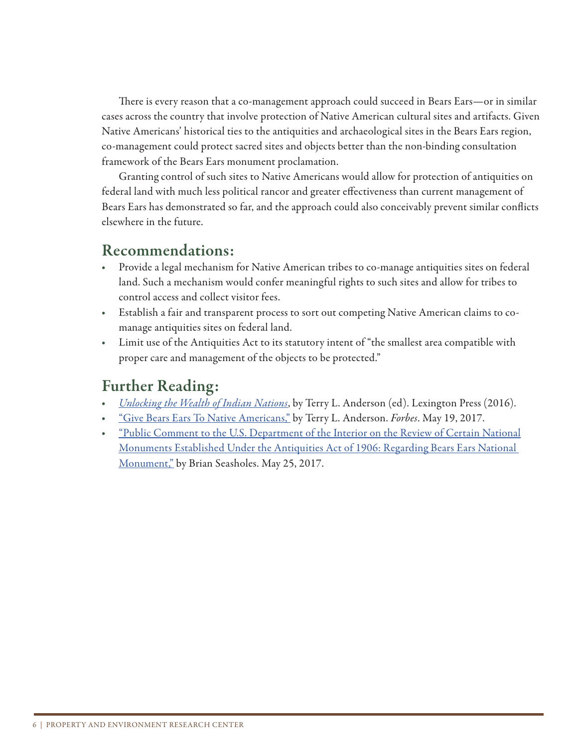There is every reason that a co-management approach could succeed in Bears Ears—or in similar cases across the country that involve protection of Native American cultural sites and artifacts. Given Native Americans' historical ties to the antiquities and archaeological sites in the Bears Ears region, co-management could protect sacred sites and objects better than the non-binding consultation framework of the Bears Ears monument proclamation.

Granting control of such sites to Native Americans would allow for protection of antiquities on federal land with much less political rancor and greater effectiveness than current management of Bears Ears has demonstrated so far, and the approach could also conceivably prevent similar conflicts elsewhere in the future.

#### Recommendations:

- Provide a legal mechanism for Native American tribes to co-manage antiquities sites on federal land. Such a mechanism would confer meaningful rights to such sites and allow for tribes to control access and collect visitor fees.
- Establish a fair and transparent process to sort out competing Native American claims to comanage antiquities sites on federal land.
- Limit use of the Antiquities Act to its statutory intent of "the smallest area compatible with proper care and management of the objects to be protected."

- *Unlocking the Wealth of Indian Nations*, by Terry L. Anderson (ed). Lexington Press (2016).
- "Give Bears Ears To Native Americans," by Terry L. Anderson. *Forbes*. May 19, 2017.
- <u>"Public Comment to the U.S. Department of the Interior on the Review of Certain National</u> Monuments Established Under the Antiquities Act of 1906: Regarding Bears Ears National Monument," by Brian Seasholes. May 25, 2017.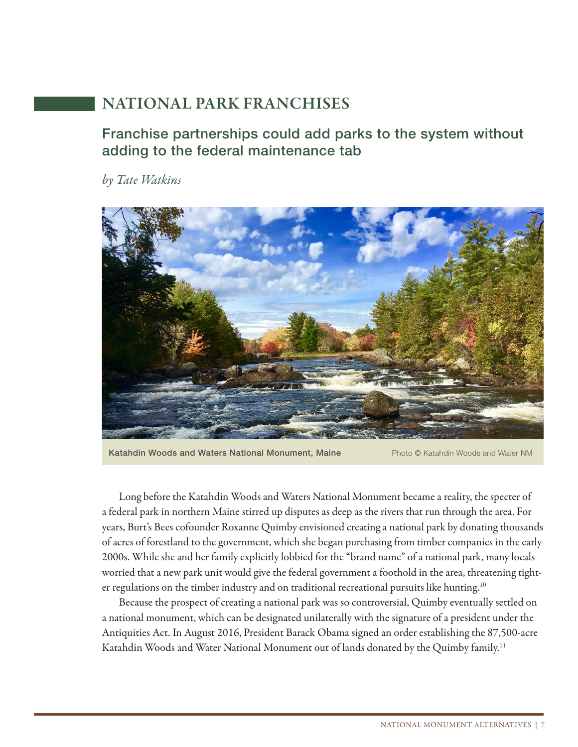# NATIONAL PARK FRANCHISES

#### Franchise partnerships could add parks to the system without adding to the federal maintenance tab

*by Tate Watkins*



Katahdin Woods and Waters National Monument, Maine Photo © Katahdin Woods and Water NM

Long before the Katahdin Woods and Waters National Monument became a reality, the specter of a federal park in northern Maine stirred up disputes as deep as the rivers that run through the area. For years, Burt's Bees cofounder Roxanne Quimby envisioned creating a national park by donating thousands of acres of forestland to the government, which she began purchasing from timber companies in the early 2000s. While she and her family explicitly lobbied for the "brand name" of a national park, many locals worried that a new park unit would give the federal government a foothold in the area, threatening tighter regulations on the timber industry and on traditional recreational pursuits like hunting.<sup>10</sup>

Because the prospect of creating a national park was so controversial, Quimby eventually settled on a national monument, which can be designated unilaterally with the signature of a president under the Antiquities Act. In August 2016, President Barack Obama signed an order establishing the 87,500-acre Katahdin Woods and Water National Monument out of lands donated by the Quimby family.<sup>11</sup>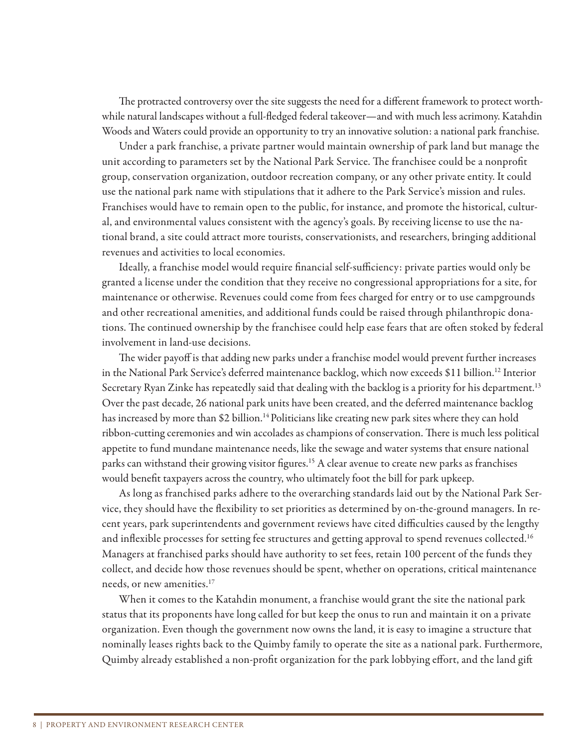The protracted controversy over the site suggests the need for a different framework to protect worthwhile natural landscapes without a full-fledged federal takeover—and with much less acrimony. Katahdin Woods and Waters could provide an opportunity to try an innovative solution: a national park franchise.

Under a park franchise, a private partner would maintain ownership of park land but manage the unit according to parameters set by the National Park Service. The franchisee could be a nonprofit group, conservation organization, outdoor recreation company, or any other private entity. It could use the national park name with stipulations that it adhere to the Park Service's mission and rules. Franchises would have to remain open to the public, for instance, and promote the historical, cultural, and environmental values consistent with the agency's goals. By receiving license to use the national brand, a site could attract more tourists, conservationists, and researchers, bringing additional revenues and activities to local economies.

Ideally, a franchise model would require financial self-sufficiency: private parties would only be granted a license under the condition that they receive no congressional appropriations for a site, for maintenance or otherwise. Revenues could come from fees charged for entry or to use campgrounds and other recreational amenities, and additional funds could be raised through philanthropic donations. The continued ownership by the franchisee could help ease fears that are often stoked by federal involvement in land-use decisions.

The wider payoff is that adding new parks under a franchise model would prevent further increases in the National Park Service's deferred maintenance backlog, which now exceeds \$11 billion.<sup>12</sup> Interior Secretary Ryan Zinke has repeatedly said that dealing with the backlog is a priority for his department.<sup>13</sup> Over the past decade, 26 national park units have been created, and the deferred maintenance backlog has increased by more than \$2 billion.<sup>14</sup> Politicians like creating new park sites where they can hold ribbon-cutting ceremonies and win accolades as champions of conservation. There is much less political appetite to fund mundane maintenance needs, like the sewage and water systems that ensure national parks can withstand their growing visitor figures.<sup>15</sup> A clear avenue to create new parks as franchises would benefit taxpayers across the country, who ultimately foot the bill for park upkeep.

As long as franchised parks adhere to the overarching standards laid out by the National Park Service, they should have the flexibility to set priorities as determined by on-the-ground managers. In recent years, park superintendents and government reviews have cited difficulties caused by the lengthy and inflexible processes for setting fee structures and getting approval to spend revenues collected.<sup>16</sup> Managers at franchised parks should have authority to set fees, retain 100 percent of the funds they collect, and decide how those revenues should be spent, whether on operations, critical maintenance needs, or new amenities.<sup>17</sup>

When it comes to the Katahdin monument, a franchise would grant the site the national park status that its proponents have long called for but keep the onus to run and maintain it on a private organization. Even though the government now owns the land, it is easy to imagine a structure that nominally leases rights back to the Quimby family to operate the site as a national park. Furthermore, Quimby already established a non-profit organization for the park lobbying effort, and the land gift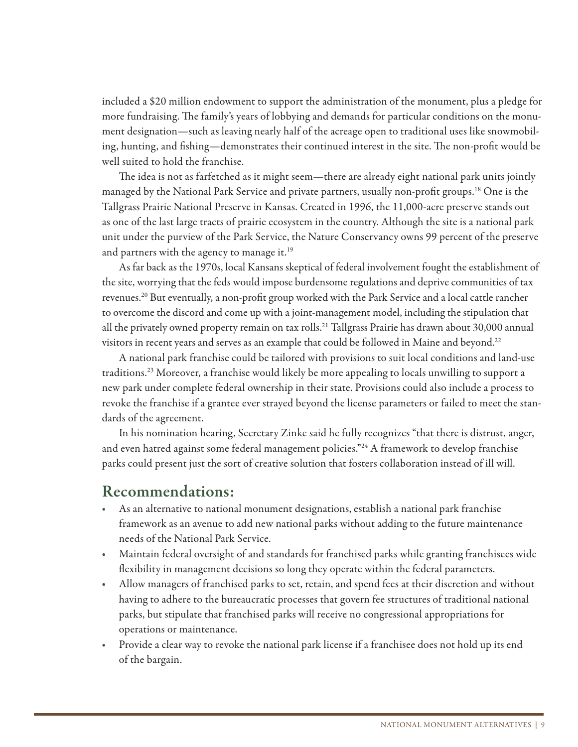included a \$20 million endowment to support the administration of the monument, plus a pledge for more fundraising. The family's years of lobbying and demands for particular conditions on the monument designation—such as leaving nearly half of the acreage open to traditional uses like snowmobiling, hunting, and fishing—demonstrates their continued interest in the site. The non-profit would be well suited to hold the franchise.

The idea is not as farfetched as it might seem—there are already eight national park units jointly managed by the National Park Service and private partners, usually non-profit groups.<sup>18</sup> One is the Tallgrass Prairie National Preserve in Kansas. Created in 1996, the 11,000-acre preserve stands out as one of the last large tracts of prairie ecosystem in the country. Although the site is a national park unit under the purview of the Park Service, the Nature Conservancy owns 99 percent of the preserve and partners with the agency to manage it.<sup>19</sup>

As far back as the 1970s, local Kansans skeptical of federal involvement fought the establishment of the site, worrying that the feds would impose burdensome regulations and deprive communities of tax revenues.<sup>20</sup> But eventually, a non-profit group worked with the Park Service and a local cattle rancher to overcome the discord and come up with a joint-management model, including the stipulation that all the privately owned property remain on tax rolls.<sup>21</sup> Tallgrass Prairie has drawn about 30,000 annual visitors in recent years and serves as an example that could be followed in Maine and beyond.<sup>22</sup>

A national park franchise could be tailored with provisions to suit local conditions and land-use traditions.23 Moreover, a franchise would likely be more appealing to locals unwilling to support a new park under complete federal ownership in their state. Provisions could also include a process to revoke the franchise if a grantee ever strayed beyond the license parameters or failed to meet the standards of the agreement.

In his nomination hearing, Secretary Zinke said he fully recognizes "that there is distrust, anger, and even hatred against some federal management policies."24 A framework to develop franchise parks could present just the sort of creative solution that fosters collaboration instead of ill will.

#### Recommendations:

- As an alternative to national monument designations, establish a national park franchise framework as an avenue to add new national parks without adding to the future maintenance needs of the National Park Service.
- Maintain federal oversight of and standards for franchised parks while granting franchisees wide flexibility in management decisions so long they operate within the federal parameters.
- Allow managers of franchised parks to set, retain, and spend fees at their discretion and without having to adhere to the bureaucratic processes that govern fee structures of traditional national parks, but stipulate that franchised parks will receive no congressional appropriations for operations or maintenance.
- Provide a clear way to revoke the national park license if a franchisee does not hold up its end of the bargain.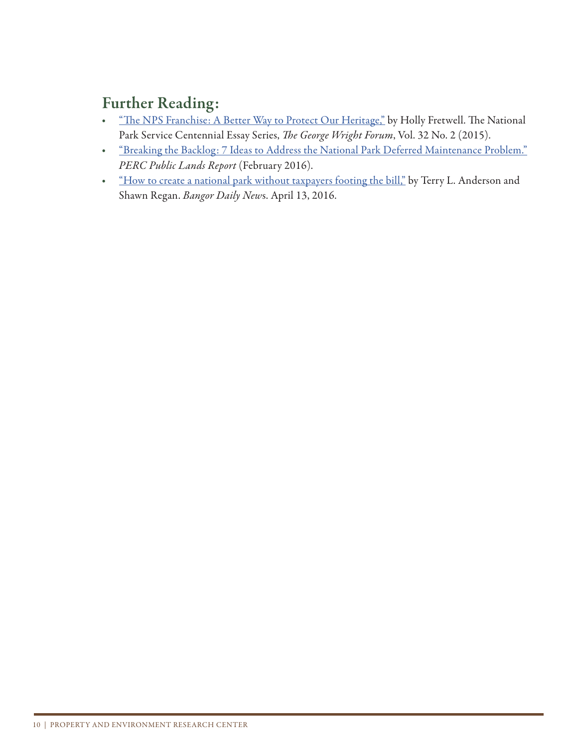- "The NPS Franchise: A Better Way to Protect Our Heritage," by Holly Fretwell. The National Park Service Centennial Essay Series, *The George Wright Forum*, Vol. 32 No. 2 (2015).
- "Breaking the Backlog: 7 Ideas to Address the National Park Deferred Maintenance Problem." *PERC Public Lands Report* (February 2016).
- "How to create a national park without taxpayers footing the bill," by Terry L. Anderson and Shawn Regan. *Bangor Daily New*s. April 13, 2016.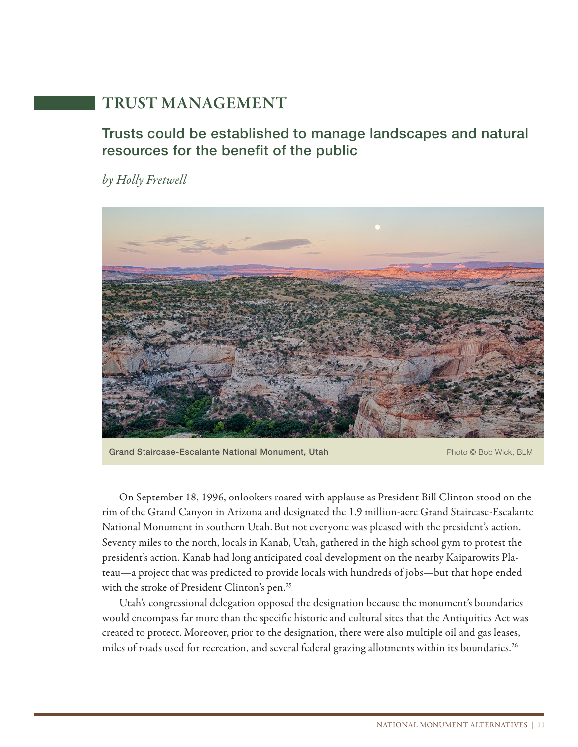# TRUST MANAGEMENT

#### Trusts could be established to manage landscapes and natural resources for the benefit of the public

*by Holly Fretwell*



Grand Staircase-Escalante National Monument, Utah **Photo Cases Accord Photo © Bob Wick, BLM** 

On September 18, 1996, onlookers roared with applause as President Bill Clinton stood on the rim of the Grand Canyon in Arizona and designated the 1.9 million-acre Grand Staircase-Escalante National Monument in southern Utah.But not everyone was pleased with the president's action. Seventy miles to the north, locals in Kanab, Utah, gathered in the high school gym to protest the president's action. Kanab had long anticipated coal development on the nearby Kaiparowits Plateau—a project that was predicted to provide locals with hundreds of jobs—but that hope ended with the stroke of President Clinton's pen.<sup>25</sup>

Utah's congressional delegation opposed the designation because the monument's boundaries would encompass far more than the specific historic and cultural sites that the Antiquities Act was created to protect. Moreover, prior to the designation, there were also multiple oil and gas leases, miles of roads used for recreation, and several federal grazing allotments within its boundaries.<sup>26</sup>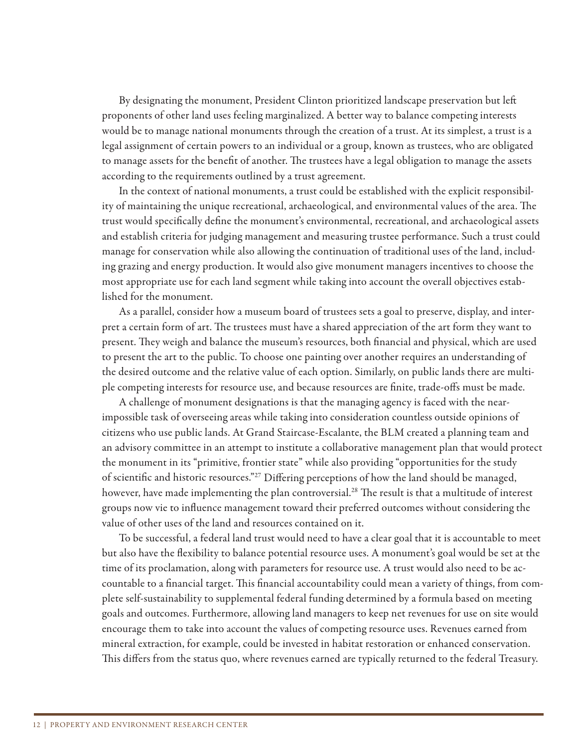By designating the monument, President Clinton prioritized landscape preservation but le proponents of other land uses feeling marginalized. A better way to balance competing interests would be to manage national monuments through the creation of a trust. At its simplest, a trust is a legal assignment of certain powers to an individual or a group, known as trustees, who are obligated to manage assets for the benefit of another. The trustees have a legal obligation to manage the assets according to the requirements outlined by a trust agreement.

In the context of national monuments, a trust could be established with the explicit responsibility of maintaining the unique recreational, archaeological, and environmental values of the area. The trust would specifically define the monument's environmental, recreational, and archaeological assets and establish criteria for judging management and measuring trustee performance. Such a trust could manage for conservation while also allowing the continuation of traditional uses of the land, including grazing and energy production. It would also give monument managers incentives to choose the most appropriate use for each land segment while taking into account the overall objectives established for the monument.

As a parallel, consider how a museum board of trustees sets a goal to preserve, display, and interpret a certain form of art. The trustees must have a shared appreciation of the art form they want to present. They weigh and balance the museum's resources, both financial and physical, which are used to present the art to the public. To choose one painting over another requires an understanding of the desired outcome and the relative value of each option. Similarly, on public lands there are multiple competing interests for resource use, and because resources are finite, trade-offs must be made.

A challenge of monument designations is that the managing agency is faced with the nearimpossible task of overseeing areas while taking into consideration countless outside opinions of citizens who use public lands. At Grand Staircase-Escalante, the BLM created a planning team and an advisory committee in an attempt to institute a collaborative management plan that would protect the monument in its "primitive, frontier state" while also providing "opportunities for the study of scientific and historic resources."<sup>27</sup> Differing perceptions of how the land should be managed, however, have made implementing the plan controversial.<sup>28</sup> The result is that a multitude of interest groups now vie to influence management toward their preferred outcomes without considering the value of other uses of the land and resources contained on it.

To be successful, a federal land trust would need to have a clear goal that it is accountable to meet but also have the flexibility to balance potential resource uses. A monument's goal would be set at the time of its proclamation, along with parameters for resource use. A trust would also need to be accountable to a financial target. This financial accountability could mean a variety of things, from complete self-sustainability to supplemental federal funding determined by a formula based on meeting goals and outcomes. Furthermore, allowing land managers to keep net revenues for use on site would encourage them to take into account the values of competing resource uses. Revenues earned from mineral extraction, for example, could be invested in habitat restoration or enhanced conservation. This differs from the status quo, where revenues earned are typically returned to the federal Treasury.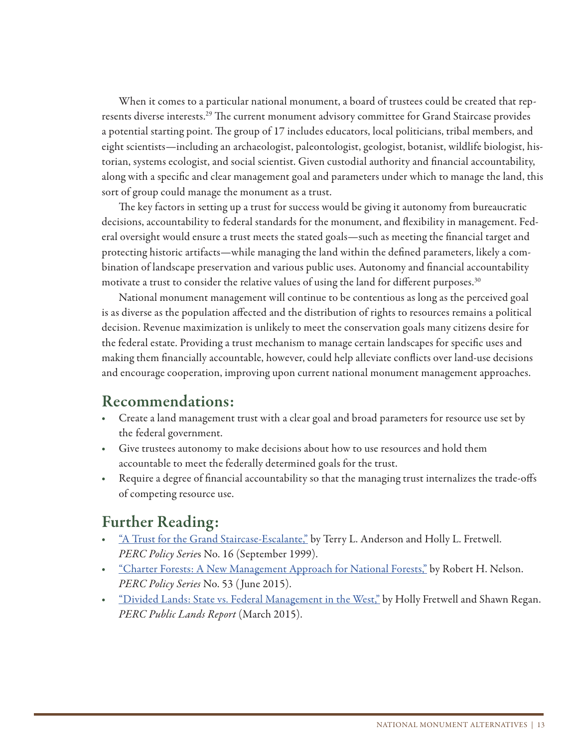When it comes to a particular national monument, a board of trustees could be created that represents diverse interests.<sup>29</sup> The current monument advisory committee for Grand Staircase provides a potential starting point. The group of 17 includes educators, local politicians, tribal members, and eight scientists—including an archaeologist, paleontologist, geologist, botanist, wildlife biologist, historian, systems ecologist, and social scientist. Given custodial authority and financial accountability, along with a specific and clear management goal and parameters under which to manage the land, this sort of group could manage the monument as a trust.

The key factors in setting up a trust for success would be giving it autonomy from bureaucratic decisions, accountability to federal standards for the monument, and flexibility in management. Federal oversight would ensure a trust meets the stated goals—such as meeting the financial target and protecting historic artifacts—while managing the land within the defined parameters, likely a combination of landscape preservation and various public uses. Autonomy and financial accountability motivate a trust to consider the relative values of using the land for different purposes. $30$ 

National monument management will continue to be contentious as long as the perceived goal is as diverse as the population affected and the distribution of rights to resources remains a political decision. Revenue maximization is unlikely to meet the conservation goals many citizens desire for the federal estate. Providing a trust mechanism to manage certain landscapes for specific uses and making them financially accountable, however, could help alleviate conflicts over land-use decisions and encourage cooperation, improving upon current national monument management approaches.

### Recommendations:

- Create a land management trust with a clear goal and broad parameters for resource use set by the federal government.
- Give trustees autonomy to make decisions about how to use resources and hold them accountable to meet the federally determined goals for the trust.
- Require a degree of financial accountability so that the managing trust internalizes the trade-offs of competing resource use.

- "A Trust for the Grand Staircase-Escalante," by Terry L. Anderson and Holly L. Fretwell. *PERC Policy Serie*s No. 16 (September 1999).
- <u>"Charter Forests: A New Management Approach for National Forests,"</u> by Robert H. Nelson. *PERC Policy Series* No. 53 ( June 2015).
- <u>"Divided Lands: State vs. Federal Management in the West,"</u> by Holly Fretwell and Shawn Regan. *PERC Public Lands Report* (March 2015).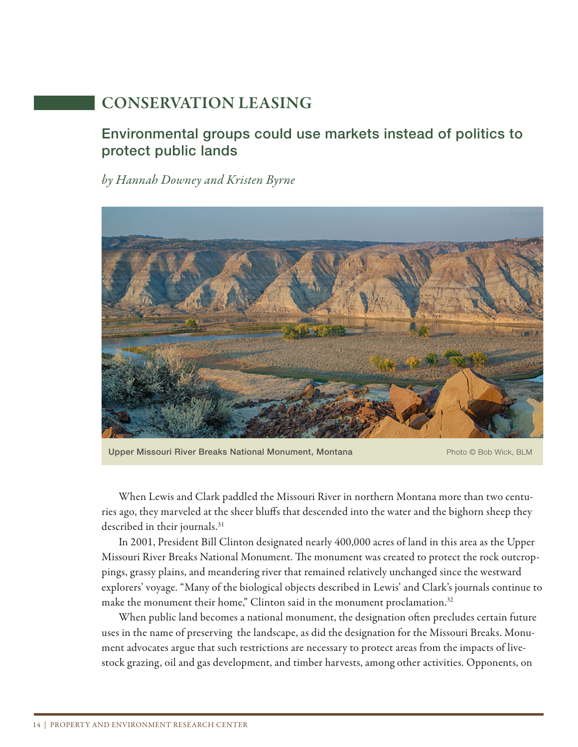# CONSERVATION LEASING

#### Environmental groups could use markets instead of politics to protect public lands

*by Hannah Downey and Kristen Byrne*



Upper Missouri River Breaks National Monument, Montana Photo © Bob Wick, BLM

When Lewis and Clark paddled the Missouri River in northern Montana more than two centuries ago, they marveled at the sheer bluffs that descended into the water and the bighorn sheep they described in their journals.<sup>31</sup>

In 2001, President Bill Clinton designated nearly 400,000 acres of land in this area as the Upper Missouri River Breaks National Monument. The monument was created to protect the rock outcroppings, grassy plains, and meandering river that remained relatively unchanged since the westward explorers' voyage. "Many of the biological objects described in Lewis' and Clark's journals continue to make the monument their home," Clinton said in the monument proclamation.<sup>32</sup>

When public land becomes a national monument, the designation often precludes certain future uses in the name of preserving the landscape, as did the designation for the Missouri Breaks. Monument advocates argue that such restrictions are necessary to protect areas from the impacts of livestock grazing, oil and gas development, and timber harvests, among other activities. Opponents, on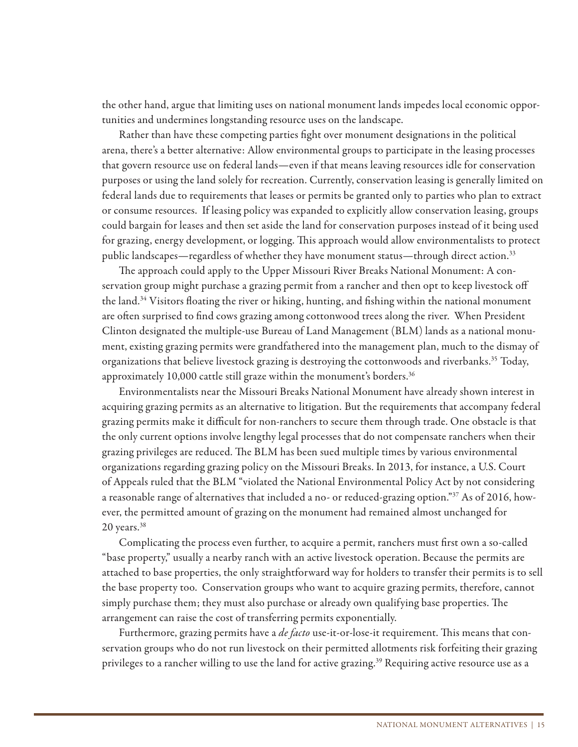the other hand, argue that limiting uses on national monument lands impedes local economic opportunities and undermines longstanding resource uses on the landscape.

Rather than have these competing parties fight over monument designations in the political arena, there's a better alternative: Allow environmental groups to participate in the leasing processes that govern resource use on federal lands—even if that means leaving resources idle for conservation purposes or using the land solely for recreation. Currently, conservation leasing is generally limited on federal lands due to requirements that leases or permits be granted only to parties who plan to extract or consume resources. If leasing policy was expanded to explicitly allow conservation leasing, groups could bargain for leases and then set aside the land for conservation purposes instead of it being used for grazing, energy development, or logging. This approach would allow environmentalists to protect public landscapes—regardless of whether they have monument status—through direct action.<sup>33</sup>

The approach could apply to the Upper Missouri River Breaks National Monument: A conservation group might purchase a grazing permit from a rancher and then opt to keep livestock off the land.<sup>34</sup> Visitors floating the river or hiking, hunting, and fishing within the national monument are often surprised to find cows grazing among cottonwood trees along the river. When President Clinton designated the multiple-use Bureau of Land Management (BLM) lands as a national monument, existing grazing permits were grandfathered into the management plan, much to the dismay of organizations that believe livestock grazing is destroying the cottonwoods and riverbanks.<sup>35</sup> Today, approximately 10,000 cattle still graze within the monument's borders.<sup>36</sup>

Environmentalists near the Missouri Breaks National Monument have already shown interest in acquiring grazing permits as an alternative to litigation. But the requirements that accompany federal grazing permits make it difficult for non-ranchers to secure them through trade. One obstacle is that the only current options involve lengthy legal processes that do not compensate ranchers when their grazing privileges are reduced. The BLM has been sued multiple times by various environmental organizations regarding grazing policy on the Missouri Breaks. In 2013, for instance, a U.S. Court of Appeals ruled that the BLM "violated the National Environmental Policy Act by not considering a reasonable range of alternatives that included a no- or reduced-grazing option."37 As of 2016, however, the permitted amount of grazing on the monument had remained almost unchanged for  $20$  years.<sup>38</sup>

Complicating the process even further, to acquire a permit, ranchers must first own a so-called "base property," usually a nearby ranch with an active livestock operation. Because the permits are attached to base properties, the only straightforward way for holders to transfer their permits is to sell the base property too. Conservation groups who want to acquire grazing permits, therefore, cannot simply purchase them; they must also purchase or already own qualifying base properties. The arrangement can raise the cost of transferring permits exponentially.

Furthermore, grazing permits have a *de facto* use-it-or-lose-it requirement. This means that conservation groups who do not run livestock on their permitted allotments risk forfeiting their grazing privileges to a rancher willing to use the land for active grazing.<sup>39</sup> Requiring active resource use as a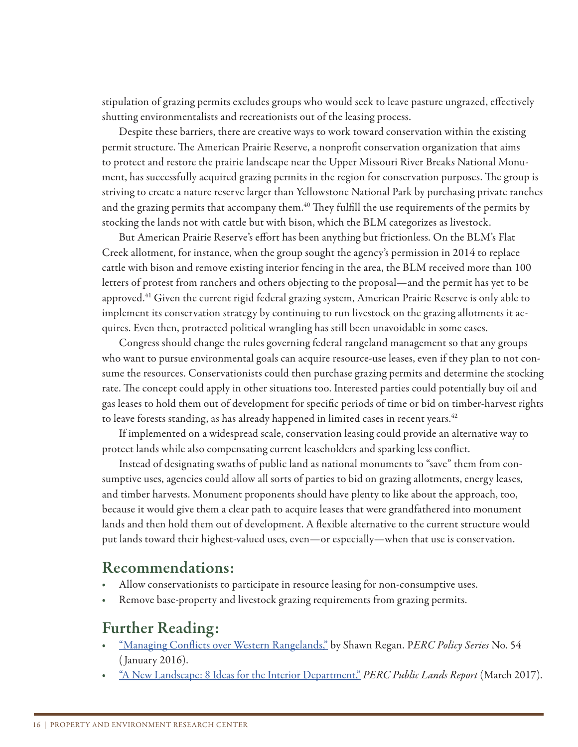stipulation of grazing permits excludes groups who would seek to leave pasture ungrazed, effectively shutting environmentalists and recreationists out of the leasing process.

Despite these barriers, there are creative ways to work toward conservation within the existing permit structure. The American Prairie Reserve, a nonprofit conservation organization that aims to protect and restore the prairie landscape near the Upper Missouri River Breaks National Monument, has successfully acquired grazing permits in the region for conservation purposes. The group is striving to create a nature reserve larger than Yellowstone National Park by purchasing private ranches and the grazing permits that accompany them.<sup>40</sup> They fulfill the use requirements of the permits by stocking the lands not with cattle but with bison, which the BLM categorizes as livestock.

But American Prairie Reserve's effort has been anything but frictionless. On the BLM's Flat Creek allotment, for instance, when the group sought the agency's permission in 2014 to replace cattle with bison and remove existing interior fencing in the area, the BLM received more than 100 letters of protest from ranchers and others objecting to the proposal—and the permit has yet to be approved.<sup>41</sup> Given the current rigid federal grazing system, American Prairie Reserve is only able to implement its conservation strategy by continuing to run livestock on the grazing allotments it acquires. Even then, protracted political wrangling has still been unavoidable in some cases.

Congress should change the rules governing federal rangeland management so that any groups who want to pursue environmental goals can acquire resource-use leases, even if they plan to not consume the resources. Conservationists could then purchase grazing permits and determine the stocking rate. The concept could apply in other situations too. Interested parties could potentially buy oil and gas leases to hold them out of development for specific periods of time or bid on timber-harvest rights to leave forests standing, as has already happened in limited cases in recent years.<sup>42</sup>

If implemented on a widespread scale, conservation leasing could provide an alternative way to protect lands while also compensating current leaseholders and sparking less conflict.

Instead of designating swaths of public land as national monuments to "save" them from consumptive uses, agencies could allow all sorts of parties to bid on grazing allotments, energy leases, and timber harvests. Monument proponents should have plenty to like about the approach, too, because it would give them a clear path to acquire leases that were grandfathered into monument lands and then hold them out of development. A flexible alternative to the current structure would put lands toward their highest-valued uses, even—or especially—when that use is conservation.

#### Recommendations:

- Allow conservationists to participate in resource leasing for non-consumptive uses.
- Remove base-property and livestock grazing requirements from grazing permits.

- "Managing Conflicts over Western Rangelands," by Shawn Regan. PERC Policy Series No. 54 ( January 2016).
- "A New Landscape: 8 Ideas for the Interior Department," *PERC Public Lands Report* (March 2017).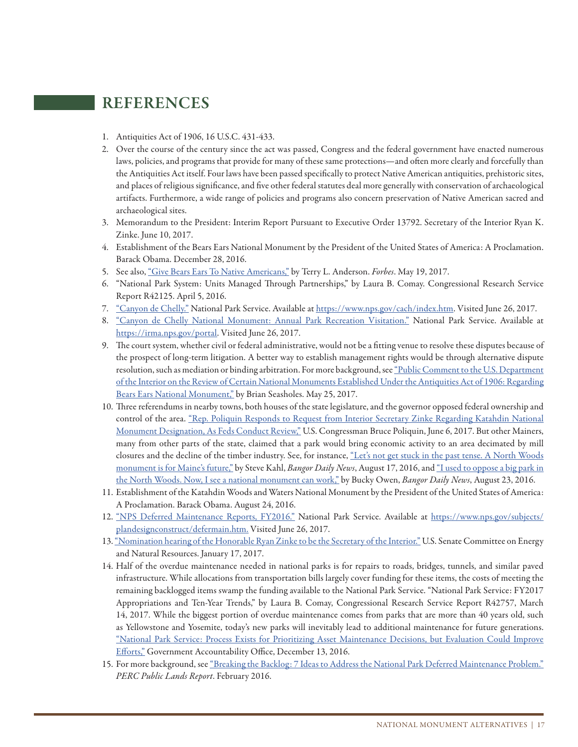#### REFERENCES

- 1. Antiquities Act of 1906, 16 U.S.C. 431-433.
- 2. Over the course of the century since the act was passed, Congress and the federal government have enacted numerous laws, policies, and programs that provide for many of these same protections—and often more clearly and forcefully than the Antiquities Act itself. Four laws have been passed specifically to protect Native American antiquities, prehistoric sites, and places of religious significance, and five other federal statutes deal more generally with conservation of archaeological artifacts. Furthermore, a wide range of policies and programs also concern preservation of Native American sacred and archaeological sites.
- 3. Memorandum to the President: Interim Report Pursuant to Executive Order 13792. Secretary of the Interior Ryan K. Zinke. June 10, 2017.
- 4. Establishment of the Bears Ears National Monument by the President of the United States of America: A Proclamation. Barack Obama. December 28, 2016.
- 5. See also, "Give Bears Ears To Native Americans," by Terry L. Anderson. *Forbes*. May 19, 2017.
- 6. "National Park System: Units Managed Through Partnerships," by Laura B. Comay. Congressional Research Service Report R42125. April 5, 2016.
- 7. "Canyon de Chelly." National Park Service. Available at https://www.nps.gov/cach/index.htm. Visited June 26, 2017.
- 8. "Canyon de Chelly National Monument: Annual Park Recreation Visitation." National Park Service. Available at https://irma.nps.gov/portal. Visited June 26, 2017.
- 9. The court system, whether civil or federal administrative, would not be a fitting venue to resolve these disputes because of the prospect of long-term litigation. A better way to establish management rights would be through alternative dispute resolution, such as mediation or binding arbitration. For more background, see "Public Comment to the U.S. Department of the Interior on the Review of Certain National Monuments Established Under the Antiquities Act of 1906: Regarding Bears Ears National Monument," by Brian Seasholes. May 25, 2017.
- 10. Three referendums in nearby towns, both houses of the state legislature, and the governor opposed federal ownership and control of the area. "Rep. Poliquin Responds to Request from Interior Secretary Zinke Regarding Katahdin National Monument Designation, As Feds Conduct Review," U.S. Congressman Bruce Poliquin, June 6, 2017. But other Mainers, many from other parts of the state, claimed that a park would bring economic activity to an area decimated by mill closures and the decline of the timber industry. See, for instance, "Let's not get stuck in the past tense. A North Woods monument is for Maine's future," by Steve Kahl, *Bangor Daily News*, August 17, 2016, and "I used to oppose a big park in the North Woods. Now, I see a national monument can work," by Bucky Owen, *Bangor Daily News*, August 23, 2016.
- 11. Establishment of the Katahdin Woods and Waters National Monument by the President of the United States of America: A Proclamation. Barack Obama. August 24, 2016.
- 12. "NPS Deferred Maintenance Reports, FY2016." National Park Service. Available at https://www.nps.gov/subjects/ plandesignconstruct/defermain.htm. Visited June 26, 2017.
- 13. "Nomination hearing of the Honorable Ryan Zinke to be the Secretary of the Interior." U.S. Senate Committee on Energy and Natural Resources. January 17, 2017.
- 14. Half of the overdue maintenance needed in national parks is for repairs to roads, bridges, tunnels, and similar paved infrastructure. While allocations from transportation bills largely cover funding for these items, the costs of meeting the remaining backlogged items swamp the funding available to the National Park Service. "National Park Service: FY2017 Appropriations and Ten-Year Trends," by Laura B. Comay, Congressional Research Service Report R42757, March 14, 2017. While the biggest portion of overdue maintenance comes from parks that are more than 40 years old, such as Yellowstone and Yosemite, today's new parks will inevitably lead to additional maintenance for future generations. "National Park Service: Process Exists for Prioritizing Asset Maintenance Decisions, but Evaluation Could Improve Efforts," Government Accountability Office, December 13, 2016.
- 15. For more background, see "Breaking the Backlog: 7 Ideas to Address the National Park Deferred Maintenance Problem." *PERC Public Lands Report*. February 2016.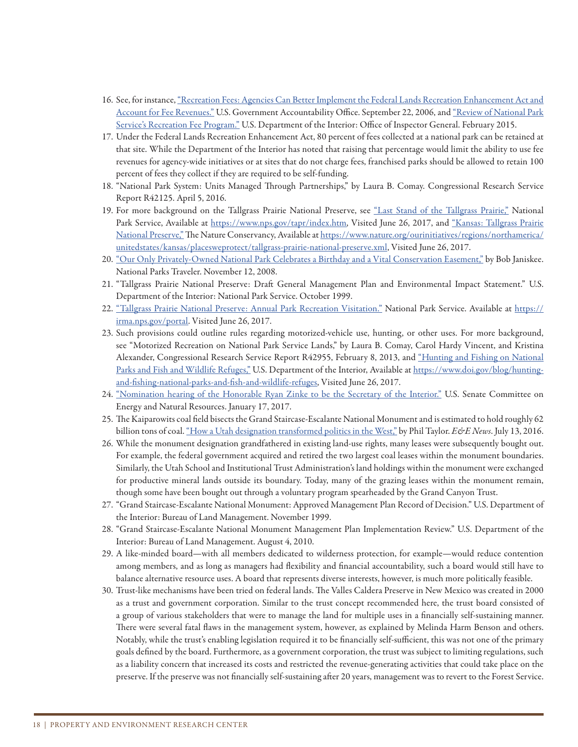- 16. See, for instance, "Recreation Fees: Agencies Can Better Implement the Federal Lands Recreation Enhancement Act and Account for Fee Revenues." U.S. Government Accountability Office. September 22, 2006, and "Review of National Park Service's Recreation Fee Program." U.S. Department of the Interior: Office of Inspector General. February 2015.
- 17. Under the Federal Lands Recreation Enhancement Act, 80 percent of fees collected at a national park can be retained at that site. While the Department of the Interior has noted that raising that percentage would limit the ability to use fee revenues for agency-wide initiatives or at sites that do not charge fees, franchised parks should be allowed to retain 100 percent of fees they collect if they are required to be self-funding.
- 18. "National Park System: Units Managed Through Partnerships," by Laura B. Comay. Congressional Research Service Report R42125. April 5, 2016.
- 19. For more background on the Tallgrass Prairie National Preserve, see "Last Stand of the Tallgrass Prairie," National Park Service, Available at https://www.nps.gov/tapr/index.htm, Visited June 26, 2017, and "Kansas: Tallgrass Prairie National Preserve," The Nature Conservancy, Available at https://www.nature.org/ourinitiatives/regions/northamerica/ unitedstates/kansas/placesweprotect/tallgrass-prairie-national-preserve.xml, Visited June 26, 2017.
- 20. "Our Only Privately-Owned National Park Celebrates a Birthday and a Vital Conservation Easement," by Bob Janiskee. National Parks Traveler. November 12, 2008.
- 21. "Tallgrass Prairie National Preserve: Draft General Management Plan and Environmental Impact Statement." U.S. Department of the Interior: National Park Service. October 1999.
- 22. "Tallgrass Prairie National Preserve: Annual Park Recreation Visitation." National Park Service. Available at https:// irma.nps.gov/portal. Visited June 26, 2017.
- 23. Such provisions could outline rules regarding motorized-vehicle use, hunting, or other uses. For more background, see "Motorized Recreation on National Park Service Lands," by Laura B. Comay, Carol Hardy Vincent, and Kristina Alexander, Congressional Research Service Report R42955, February 8, 2013, and "Hunting and Fishing on National Parks and Fish and Wildlife Refuges," U.S. Department of the Interior, Available at https://www.doi.gov/blog/huntingand-fishing-national-parks-and-fish-and-wildlife-refuges, Visited June 26, 2017.
- 24. "Nomination hearing of the Honorable Ryan Zinke to be the Secretary of the Interior." U.S. Senate Committee on Energy and Natural Resources. January 17, 2017.
- 25. The Kaiparowits coal field bisects the Grand Staircase-Escalante National Monument and is estimated to hold roughly 62 billion tons of coal. "How a Utah designation transformed politics in the West," by Phil Taylor. *E&E News*. July 13, 2016.
- 26. While the monument designation grandfathered in existing land-use rights, many leases were subsequently bought out. For example, the federal government acquired and retired the two largest coal leases within the monument boundaries. Similarly, the Utah School and Institutional Trust Administration's land holdings within the monument were exchanged for productive mineral lands outside its boundary. Today, many of the grazing leases within the monument remain, though some have been bought out through a voluntary program spearheaded by the Grand Canyon Trust.
- 27. "Grand Staircase-Escalante National Monument: Approved Management Plan Record of Decision." U.S. Department of the Interior: Bureau of Land Management. November 1999.
- 28. "Grand Staircase-Escalante National Monument Management Plan Implementation Review." U.S. Department of the Interior: Bureau of Land Management. August 4, 2010.
- 29. A like-minded board—with all members dedicated to wilderness protection, for example—would reduce contention among members, and as long as managers had flexibility and financial accountability, such a board would still have to balance alternative resource uses. A board that represents diverse interests, however, is much more politically feasible.
- 30. Trust-like mechanisms have been tried on federal lands. The Valles Caldera Preserve in New Mexico was created in 2000 as a trust and government corporation. Similar to the trust concept recommended here, the trust board consisted of a group of various stakeholders that were to manage the land for multiple uses in a financially self-sustaining manner. There were several fatal flaws in the management system, however, as explained by Melinda Harm Benson and others. Notably, while the trust's enabling legislation required it to be financially self-sufficient, this was not one of the primary goals defined by the board. Furthermore, as a government corporation, the trust was subject to limiting regulations, such as a liability concern that increased its costs and restricted the revenue-generating activities that could take place on the preserve. If the preserve was not financially self-sustaining after 20 years, management was to revert to the Forest Service.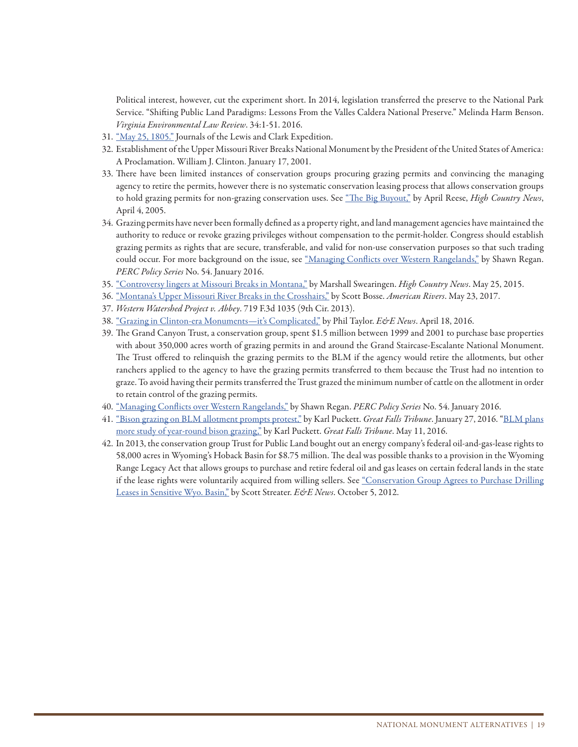Political interest, however, cut the experiment short. In 2014, legislation transferred the preserve to the National Park Service. "Shifting Public Land Paradigms: Lessons From the Valles Caldera National Preserve." Melinda Harm Benson. *Virginia Environmental Law Review*. 34:1-51. 2016.

- 31. "May 25, 1805." Journals of the Lewis and Clark Expedition.
- 32. Establishment of the Upper Missouri River Breaks National Monument by the President of the United States of America: A Proclamation. William J. Clinton. January 17, 2001.
- 33. There have been limited instances of conservation groups procuring grazing permits and convincing the managing agency to retire the permits, however there is no systematic conservation leasing process that allows conservation groups to hold grazing permits for non-grazing conservation uses. See "The Big Buyout," by April Reese, *High Country News*, April 4, 2005.
- 34. Grazing permits have never been formally defined as a property right, and land management agencies have maintained the authority to reduce or revoke grazing privileges without compensation to the permit-holder. Congress should establish grazing permits as rights that are secure, transferable, and valid for non-use conservation purposes so that such trading could occur. For more background on the issue, see "Managing Conflicts over Western Rangelands," by Shawn Regan. *PERC Policy Series* No. 54. January 2016.
- 35. "Controversy lingers at Missouri Breaks in Montana," by Marshall Swearingen. *High Country News*. May 25, 2015.
- 36. "Montana's Upper Missouri River Breaks in the Crosshairs," by Scott Bosse. *American Rivers*. May 23, 2017.
- 37. *Western Watershed Project v. Abbey*. 719 F.3d 1035 (9th Cir. 2013).
- 38. "Grazing in Clinton-era Monuments—it's Complicated," by Phil Taylor. *E&E News*. April 18, 2016.
- 39. The Grand Canyon Trust, a conservation group, spent \$1.5 million between 1999 and 2001 to purchase base properties with about 350,000 acres worth of grazing permits in and around the Grand Staircase-Escalante National Monument. The Trust offered to relinquish the grazing permits to the BLM if the agency would retire the allotments, but other ranchers applied to the agency to have the grazing permits transferred to them because the Trust had no intention to graze. To avoid having their permits transferred the Trust grazed the minimum number of cattle on the allotment in order to retain control of the grazing permits.
- 40. "Managing Conflicts over Western Rangelands," by Shawn Regan. *PERC Policy Series* No. 54. January 2016.
- 41. "Bison grazing on BLM allotment prompts protest," by Karl Puckett. *Great Falls Tribune*. January 27, 2016. "BLM plans more study of year-round bison grazing," by Karl Puckett. *Great Falls Tribune*. May 11, 2016.
- 42. In 2013, the conservation group Trust for Public Land bought out an energy company's federal oil-and-gas-lease rights to 58,000 acres in Wyoming's Hoback Basin for \$8.75 million. The deal was possible thanks to a provision in the Wyoming Range Legacy Act that allows groups to purchase and retire federal oil and gas leases on certain federal lands in the state if the lease rights were voluntarily acquired from willing sellers. See "Conservation Group Agrees to Purchase Drilling Leases in Sensitive Wyo. Basin," by Scott Streater. *E&E News*. October 5, 2012.